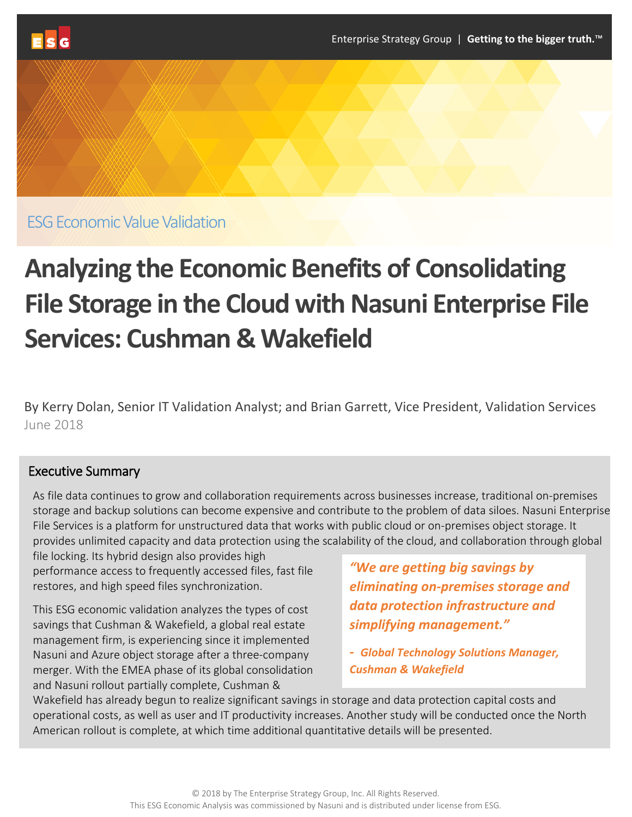

ESG Economic Value Validation

# **Analyzing the Economic Benefits of Consolidating File Storage in the Cloud with Nasuni Enterprise File Services: Cushman & Wakefield**

By Kerry Dolan, Senior IT Validation Analyst; and Brian Garrett, Vice President, Validation Services June 2018

# Executive Summary

As file data continues to grow and collaboration requirements across businesses increase, traditional on-premises storage and backup solutions can become expensive and contribute to the problem of data siloes. Nasuni Enterprise File Services is a platform for unstructured data that works with public cloud or on-premises object storage. It provides unlimited capacity and data protection using the scalability of the cloud, and collaboration through global

file locking. Its hybrid design also provides high performance access to frequently accessed files, fast file restores, and high speed files synchronization.

This ESG economic validation analyzes the types of cost savings that Cushman & Wakefield, a global real estate management firm, is experiencing since it implemented Nasuni and Azure object storage after a three-company merger. With the EMEA phase of its global consolidation and Nasuni rollout partially complete, Cushman &

*"We are getting big savings by eliminating on-premises storage and data protection infrastructure and simplifying management."*

*- Global Technology Solutions Manager, Cushman & Wakefield* 

Wakefield has already begun to realize significant savings in storage and data protection capital costs and operational costs, as well as user and IT productivity increases. Another study will be conducted once the North American rollout is complete, at which time additional quantitative details will be presented.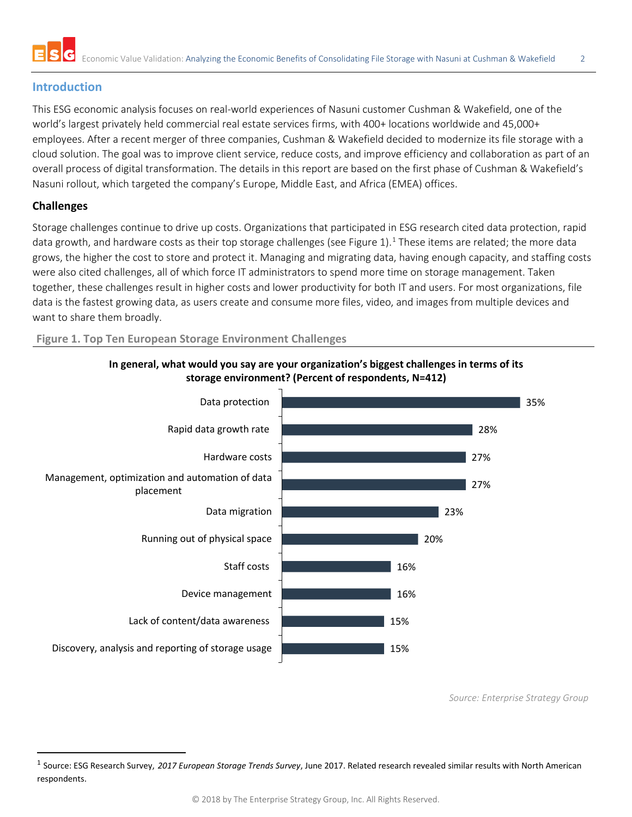

### **Introduction**

This ESG economic analysis focuses on real-world experiences of Nasuni customer Cushman & Wakefield, one of the world's largest privately held commercial real estate services firms, with 400+ locations worldwide and 45,000+ employees. After a recent merger of three companies, Cushman & Wakefield decided to modernize its file storage with a cloud solution. The goal was to improve client service, reduce costs, and improve efficiency and collaboration as part of an overall process of digital transformation. The details in this report are based on the first phase of Cushman & Wakefield's Nasuni rollout, which targeted the company's Europe, Middle East, and Africa (EMEA) offices.

#### **Challenges**

Storage challenges continue to drive up costs. Organizations that participated in ESG research cited data protection, rapid data growth, and hardware costs as their top storage challenges (see Figure [1](#page-1-0)).<sup>1</sup> These items are related; the more data grows, the higher the cost to store and protect it. Managing and migrating data, having enough capacity, and staffing costs were also cited challenges, all of which force IT administrators to spend more time on storage management. Taken together, these challenges result in higher costs and lower productivity for both IT and users. For most organizations, file data is the fastest growing data, as users create and consume more files, video, and images from multiple devices and want to share them broadly.

#### **Figure 1. Top Ten European Storage Environment Challenges**



**In general, what would you say are your organization's biggest challenges in terms of its storage environment? (Percent of respondents, N=412)**

*Source: Enterprise Strategy Group*

<span id="page-1-0"></span> <sup>1</sup> Source: ESG Research Survey, *2017 European Storage Trends Survey*, June 2017. Related research revealed similar results with North American respondents.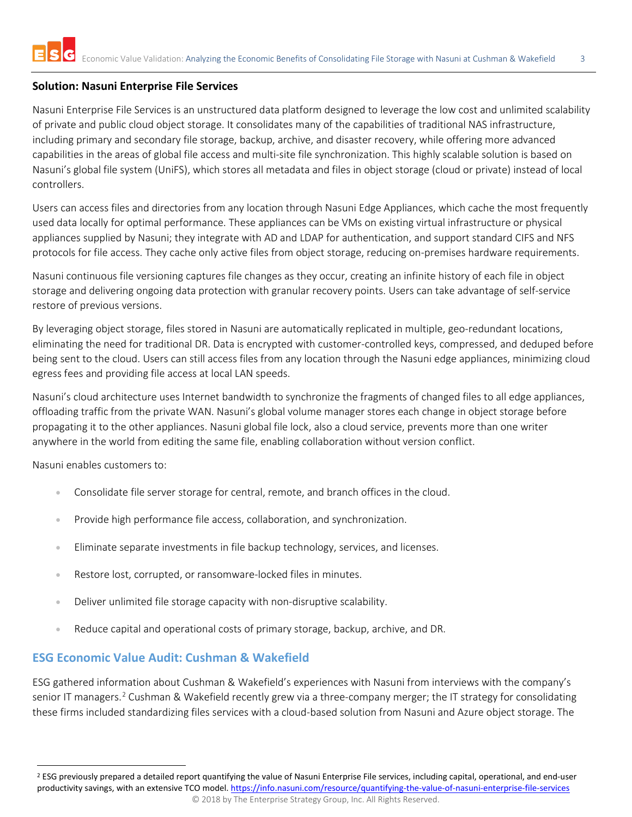#### **Solution: Nasuni Enterprise File Services**

Nasuni Enterprise File Services is an unstructured data platform designed to leverage the low cost and unlimited scalability of private and public cloud object storage. It consolidates many of the capabilities of traditional NAS infrastructure, including primary and secondary file storage, backup, archive, and disaster recovery, while offering more advanced capabilities in the areas of global file access and multi-site file synchronization. This highly scalable solution is based on Nasuni's global file system (UniFS), which stores all metadata and files in object storage (cloud or private) instead of local controllers.

Users can access files and directories from any location through Nasuni Edge Appliances, which cache the most frequently used data locally for optimal performance. These appliances can be VMs on existing virtual infrastructure or physical appliances supplied by Nasuni; they integrate with AD and LDAP for authentication, and support standard CIFS and NFS protocols for file access. They cache only active files from object storage, reducing on-premises hardware requirements.

Nasuni continuous file versioning captures file changes as they occur, creating an infinite history of each file in object storage and delivering ongoing data protection with granular recovery points. Users can take advantage of self-service restore of previous versions.

By leveraging object storage, files stored in Nasuni are automatically replicated in multiple, geo-redundant locations, eliminating the need for traditional DR. Data is encrypted with customer-controlled keys, compressed, and deduped before being sent to the cloud. Users can still access files from any location through the Nasuni edge appliances, minimizing cloud egress fees and providing file access at local LAN speeds.

Nasuni's cloud architecture uses Internet bandwidth to synchronize the fragments of changed files to all edge appliances, offloading traffic from the private WAN. Nasuni's global volume manager stores each change in object storage before propagating it to the other appliances. Nasuni global file lock, also a cloud service, prevents more than one writer anywhere in the world from editing the same file, enabling collaboration without version conflict.

Nasuni enables customers to:

- Consolidate file server storage for central, remote, and branch offices in the cloud.
- Provide high performance file access, collaboration, and synchronization.
- Eliminate separate investments in file backup technology, services, and licenses.
- Restore lost, corrupted, or ransomware-locked files in minutes.
- Deliver unlimited file storage capacity with non-disruptive scalability.
- Reduce capital and operational costs of primary storage, backup, archive, and DR.

# **ESG Economic Value Audit: Cushman & Wakefield**

ESG gathered information about Cushman & Wakefield's experiences with Nasuni from interviews with the company's senior IT managers.<sup>[2](#page-2-0)</sup> Cushman & Wakefield recently grew via a three-company merger; the IT strategy for consolidating these firms included standardizing files services with a cloud-based solution from Nasuni and Azure object storage. The

<span id="page-2-0"></span><sup>&</sup>lt;sup>2</sup> ESG previously prepared a detailed report quantifying the value of Nasuni Enterprise File services, including capital, operational, and end-user productivity savings, with an extensive TCO model. <https://info.nasuni.com/resource/quantifying-the-value-of-nasuni-enterprise-file-services>

<sup>© 2018</sup> by The Enterprise Strategy Group, Inc. All Rights Reserved.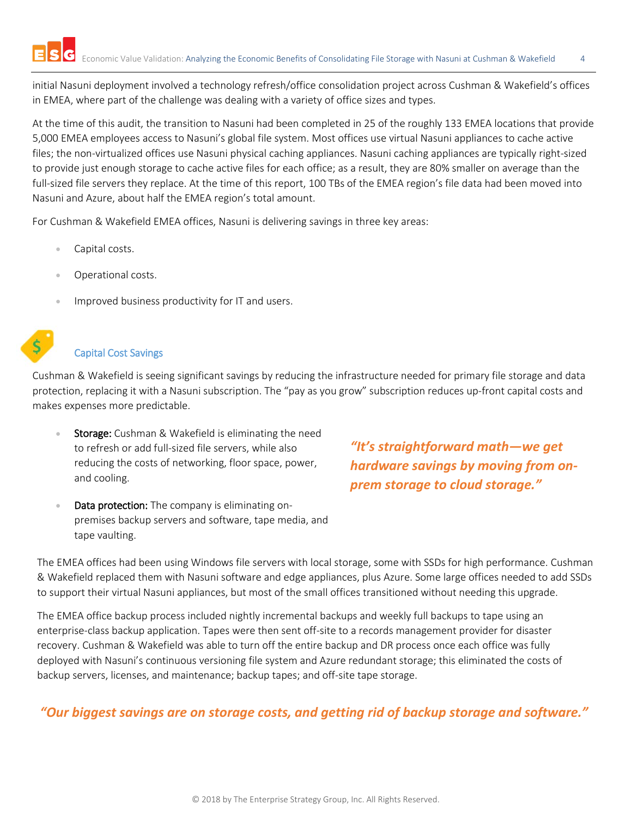initial Nasuni deployment involved a technology refresh/office consolidation project across Cushman & Wakefield's offices in EMEA, where part of the challenge was dealing with a variety of office sizes and types.

At the time of this audit, the transition to Nasuni had been completed in 25 of the roughly 133 EMEA locations that provide 5,000 EMEA employees access to Nasuni's global file system. Most offices use virtual Nasuni appliances to cache active files; the non-virtualized offices use Nasuni physical caching appliances. Nasuni caching appliances are typically right-sized to provide just enough storage to cache active files for each office; as a result, they are 80% smaller on average than the full-sized file servers they replace. At the time of this report, 100 TBs of the EMEA region's file data had been moved into Nasuni and Azure, about half the EMEA region's total amount.

For Cushman & Wakefield EMEA offices, Nasuni is delivering savings in three key areas:

- Capital costs.
- Operational costs.
- Improved business productivity for IT and users.



#### Capital Cost Savings

Cushman & Wakefield is seeing significant savings by reducing the infrastructure needed for primary file storage and data protection, replacing it with a Nasuni subscription. The "pay as you grow" subscription reduces up-front capital costs and makes expenses more predictable.

- Storage: Cushman & Wakefield is eliminating the need to refresh or add full-sized file servers, while also reducing the costs of networking, floor space, power, and cooling.
- Data protection: The company is eliminating onpremises backup servers and software, tape media, and tape vaulting.

*"It's straightforward math—we get hardware savings by moving from onprem storage to cloud storage."* 

The EMEA offices had been using Windows file servers with local storage, some with SSDs for high performance. Cushman & Wakefield replaced them with Nasuni software and edge appliances, plus Azure. Some large offices needed to add SSDs to support their virtual Nasuni appliances, but most of the small offices transitioned without needing this upgrade.

The EMEA office backup process included nightly incremental backups and weekly full backups to tape using an enterprise-class backup application. Tapes were then sent off-site to a records management provider for disaster recovery. Cushman & Wakefield was able to turn off the entire backup and DR process once each office was fully deployed with Nasuni's continuous versioning file system and Azure redundant storage; this eliminated the costs of backup servers, licenses, and maintenance; backup tapes; and off-site tape storage.

# *"Our biggest savings are on storage costs, and getting rid of backup storage and software."*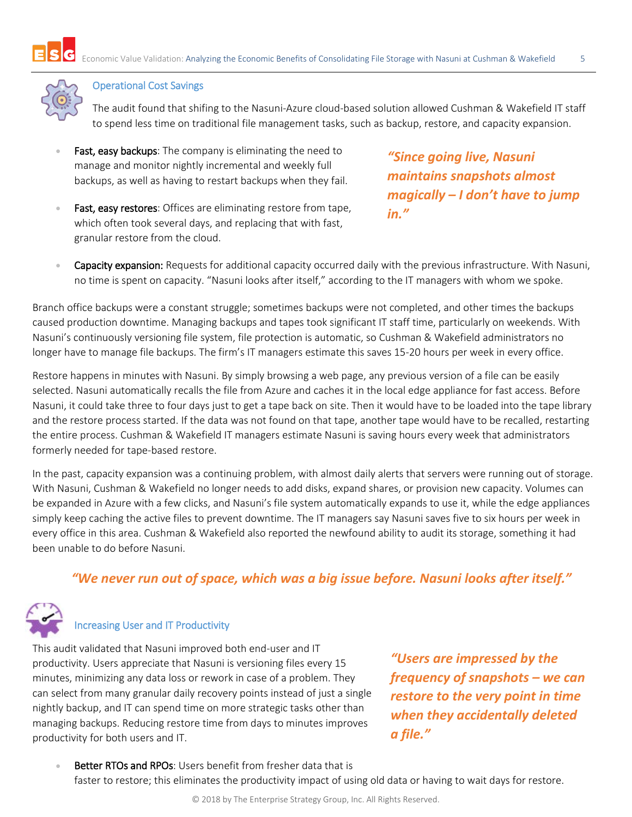

#### Operational Cost Savings

The audit found that shifing to the Nasuni-Azure cloud-based solution allowed Cushman & Wakefield IT staff to spend less time on traditional file management tasks, such as backup, restore, and capacity expansion.

- Fast, easy backups: The company is eliminating the need to manage and monitor nightly incremental and weekly full backups, as well as having to restart backups when they fail.
- Fast, easy restores: Offices are eliminating restore from tape, which often took several days, and replacing that with fast, granular restore from the cloud.

*"Since going live, Nasuni maintains snapshots almost magically – I don't have to jump in."*

**• Capacity expansion:** Requests for additional capacity occurred daily with the previous infrastructure. With Nasuni, no time is spent on capacity. "Nasuni looks after itself," according to the IT managers with whom we spoke.

Branch office backups were a constant struggle; sometimes backups were not completed, and other times the backups caused production downtime. Managing backups and tapes took significant IT staff time, particularly on weekends. With Nasuni's continuously versioning file system, file protection is automatic, so Cushman & Wakefield administrators no longer have to manage file backups. The firm's IT managers estimate this saves 15-20 hours per week in every office.

Restore happens in minutes with Nasuni. By simply browsing a web page, any previous version of a file can be easily selected. Nasuni automatically recalls the file from Azure and caches it in the local edge appliance for fast access. Before Nasuni, it could take three to four days just to get a tape back on site. Then it would have to be loaded into the tape library and the restore process started. If the data was not found on that tape, another tape would have to be recalled, restarting the entire process. Cushman & Wakefield IT managers estimate Nasuni is saving hours every week that administrators formerly needed for tape-based restore.

In the past, capacity expansion was a continuing problem, with almost daily alerts that servers were running out of storage. With Nasuni, Cushman & Wakefield no longer needs to add disks, expand shares, or provision new capacity. Volumes can be expanded in Azure with a few clicks, and Nasuni's file system automatically expands to use it, while the edge appliances simply keep caching the active files to prevent downtime. The IT managers say Nasuni saves five to six hours per week in every office in this area. Cushman & Wakefield also reported the newfound ability to audit its storage, something it had been unable to do before Nasuni.

# *"We never run out of space, which was a big issue before. Nasuni looks after itself."*



# Increasing User and IT Productivity

This audit validated that Nasuni improved both end-user and IT productivity. Users appreciate that Nasuni is versioning files every 15 minutes, minimizing any data loss or rework in case of a problem. They can select from many granular daily recovery points instead of just a single nightly backup, and IT can spend time on more strategic tasks other than managing backups. Reducing restore time from days to minutes improves productivity for both users and IT.

*"Users are impressed by the frequency of backups – we can restore to the very point in time when they accidentally deleted a file." "Users are impressed by the frequency of snapshots – we can restore to the very point in time when they accidentally deleted a file."* 

**Better RTOs and RPOs:** Users benefit from fresher data that is faster to restore; this eliminates the productivity impact of using old data or having to wait days for restore.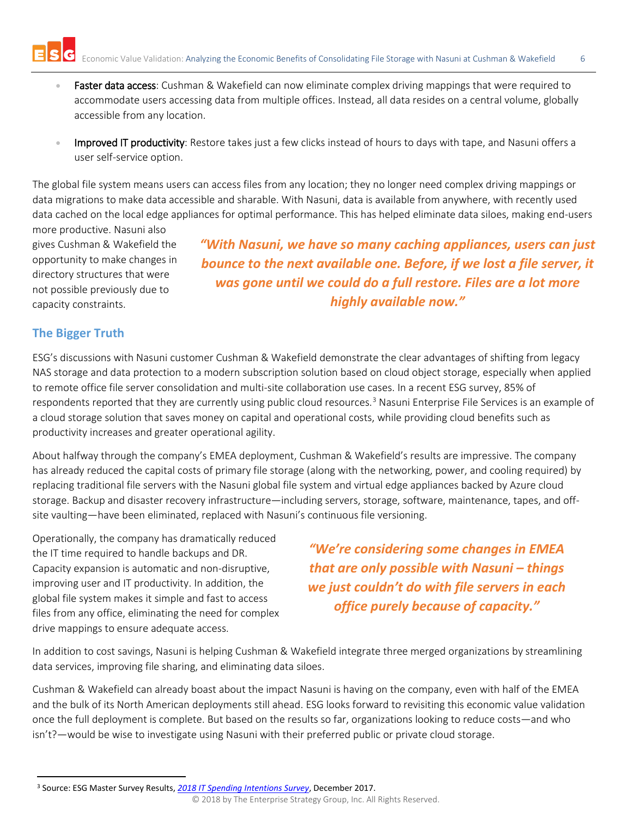

- Faster data access: Cushman & Wakefield can now eliminate complex driving mappings that were required to accommodate users accessing data from multiple offices. Instead, all data resides on a central volume, globally accessible from any location.
- Improved IT productivity: Restore takes just a few clicks instead of hours to days with tape, and Nasuni offers a user self-service option.

The global file system means users can access files from any location; they no longer need complex driving mappings or data migrations to make data accessible and sharable. With Nasuni, data is available from anywhere, with recently used data cached on the local edge appliances for optimal performance. This has helped eliminate data siloes, making end-users

more productive. Nasuni also gives Cushman & Wakefield the opportunity to make changes in directory structures that were not possible previously due to capacity constraints.

*"With Nasuni, we have so many caching appliances, users can just bounce to the next available one. Before, if we lost a file server, it was gone until we could do a full restore. Files are a lot more highly available now."*

# **The Bigger Truth**

ESG's discussions with Nasuni customer Cushman & Wakefield demonstrate the clear advantages of shifting from legacy NAS storage and data protection to a modern subscription solution based on cloud object storage, especially when applied to remote office file server consolidation and multi-site collaboration use cases. In a recent ESG survey, 85% of respondents reported that they are currently using public cloud resources.<sup>[3](#page-5-0)</sup> Nasuni Enterprise File Services is an example of a cloud storage solution that saves money on capital and operational costs, while providing cloud benefits such as productivity increases and greater operational agility.

About halfway through the company's EMEA deployment, Cushman & Wakefield's results are impressive. The company has already reduced the capital costs of primary file storage (along with the networking, power, and cooling required) by replacing traditional file servers with the Nasuni global file system and virtual edge appliances backed by Azure cloud storage. Backup and disaster recovery infrastructure—including servers, storage, software, maintenance, tapes, and offsite vaulting—have been eliminated, replaced with Nasuni's continuous file versioning.

Operationally, the company has dramatically reduced the IT time required to handle backups and DR. Capacity expansion is automatic and non-disruptive, improving user and IT productivity. In addition, the global file system makes it simple and fast to access files from any office, eliminating the need for complex drive mappings to ensure adequate access.

*"We're considering some changes in EMEA that are only possible with Nasuni – things we just couldn't do with file servers in each office purely because of capacity."*

In addition to cost savings, Nasuni is helping Cushman & Wakefield integrate three merged organizations by streamlining data services, improving file sharing, and eliminating data siloes.

Cushman & Wakefield can already boast about the impact Nasuni is having on the company, even with half of the EMEA and the bulk of its North American deployments still ahead. ESG looks forward to revisiting this economic value validation once the full deployment is complete. But based on the results so far, organizations looking to reduce costs—and who isn't?—would be wise to investigate using Nasuni with their preferred public or private cloud storage.

<span id="page-5-0"></span> <sup>3</sup> Source: ESG Master Survey Results, *[2018 IT Spending Intentions Survey](https://research.esg-global.com/reportaction/2018ITSpendingIntentions/Toc)*, December 2017.

<sup>© 2018</sup> by The Enterprise Strategy Group, Inc. All Rights Reserved.